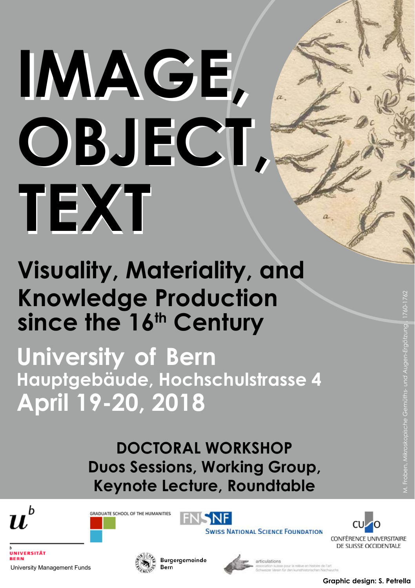# **IMAGE, OBJECT, OBJECT, TEXT**

# **Visuality, Materiality, and Knowledge Production** since the 16<sup>th</sup> Century

**University of Bern April 19-20, 2018 Hauptgebäude, Hochschulstrasse 4**

> **DOCTORAL WORKSHOP Duos Sessions, Working Group, Keynote Lecture, Roundtable**









**UNIVERSITÄT** University Management Funds



Burgergemeinde



**Graphic design: S. Petrella**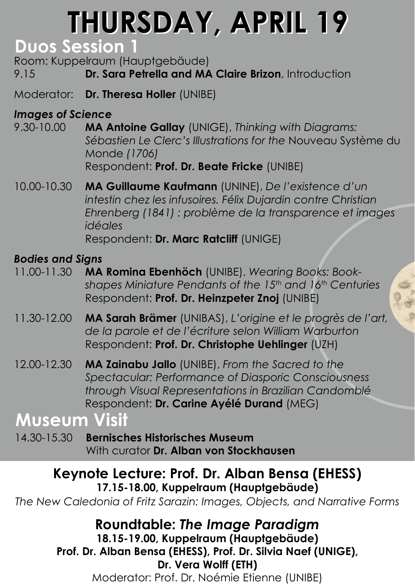# **THURSDAY, APRIL 19**

## **Duos Session 1**

Room: Kuppelraum (Hauptgebäude) 9.15 **Dr. Sara Petrella and MA Claire Brizon**, Introduction

Moderator: **Dr. Theresa Holler** (UNIBE)

#### *Images of Science*

- 9.30-10.00 **MA Antoine Gallay** (UNIGE), *Thinking with Diagrams: Sébastien Le Clerc's Illustrations for the* Nouveau Système du Monde *(1706)* Respondent: **Prof. Dr. Beate Fricke** (UNIBE)
- 10.00-10.30 **MA Guillaume Kaufmann** (UNINE), *De l'existence d'un intestin chez les infusoires. Félix Dujardin contre Christian Ehrenberg (1841) : problème de la transparence et images idéales* Respondent: **Dr. Marc Ratcliff** (UNIGE)

#### *Bodies and Signs*

- 11.00-11.30 **MA Romina Ebenhöch** (UNIBE), *Wearing Books: Book*  shapes Miniature Pendants of the 15<sup>th</sup> and 16<sup>th</sup> Centuries Respondent: **Prof. Dr. Heinzpeter Znoj** (UNIBE)
- 11.30-12.00 **MA Sarah Brämer** (UNIBAS), *L'origine et le progrès de l'art, de la parole et de l'écriture selon William Warburton* Respondent: **Prof. Dr. Christophe Uehlinger** (UZH)
- 12.00-12.30 **MA Zainabu Jallo** (UNIBE), *From the Sacred to the Spectacular: Performance of Diasporic Consciousness through Visual Representations in Brazilian Candomblé* Respondent: **Dr. Carine Ayélé Durand** (MEG)

# **Museum Visit**

14.30-15.30 **Bernisches Historisches Museum** With curator **Dr. Alban von Stockhausen** 

#### **Keynote Lecture: Prof. Dr. Alban Bensa (EHESS) 17.15-18.00, Kuppelraum (Hauptgebäude)**

*The New Caledonia of Fritz Sarazin: Images, Objects, and Narrative Forms*

**Roundtable:** *The Image Paradigm*  **18.15-19.00, Kuppelraum (Hauptgebäude) Prof. Dr. Alban Bensa (EHESS), Prof. Dr. Silvia Naef (UNIGE), Dr. Vera Wolff (ETH)**

Moderator: Prof. Dr. Noémie Etienne (UNIBE)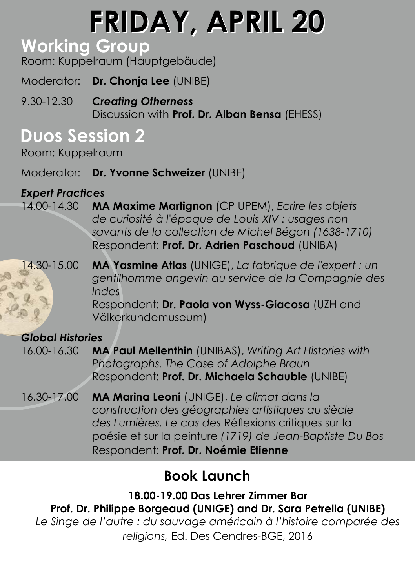# **FRIDAY, APRIL 20 FRIDAY, APRIL 20**

# **Working Group**

Room: Kuppelraum (Hauptgebäude)

Moderator: **Dr. Chonja Lee** (UNIBE)

9.30-12.30 *Creating Otherness* Discussion with **Prof. Dr. Alban Bensa** (EHESS)

# **Duos Session 2**

Room: Kuppelraum

Moderator: **Dr. Yvonne Schweizer** (UNIBE)

## *Expert Practices*

- 14.00-14.30 **MA Maxime Martignon** (CP UPEM), *Ecrire les objets de curiosité à l'époque de Louis XIV : usages non savants de la collection de Michel Bégon (1638-1710)* Respondent: **Prof. Dr. Adrien Paschoud** (UNIBA)
- 14.30-15.00 **MA Yasmine Atlas** (UNIGE), *La fabrique de l'expert : un gentilhomme angevin au service de la Compagnie des Indes* Respondent: **Dr. Paola von Wyss-Giacosa** (UZH and

Völkerkundemuseum)

### *Global Histories*

- 16.00-16.30 **MA Paul Mellenthin** (UNIBAS), *Writing Art Histories with Photographs. The Case of Adolphe Braun* Respondent: **Prof. Dr. Michaela Schauble** (UNIBE)
- 16.30-17.00 **MA Marina Leoni** (UNIGE), *Le climat dans la construction des géographies artistiques au siècle des Lumières. Le cas des* Réflexions critiques sur la poésie et sur la peinture *(1719) de Jean-Baptiste Du Bos* Respondent: **Prof. Dr. Noémie Etienne**

# **Book Launch**

**18.00-19.00 Das Lehrer Zimmer Bar Prof. Dr. Philippe Borgeaud (UNIGE) and Dr. Sara Petrella (UNIBE)**  *Le Singe de l'autre : du sauvage américain à l'histoire comparée des religions,* Ed. Des Cendres-BGE, 2016